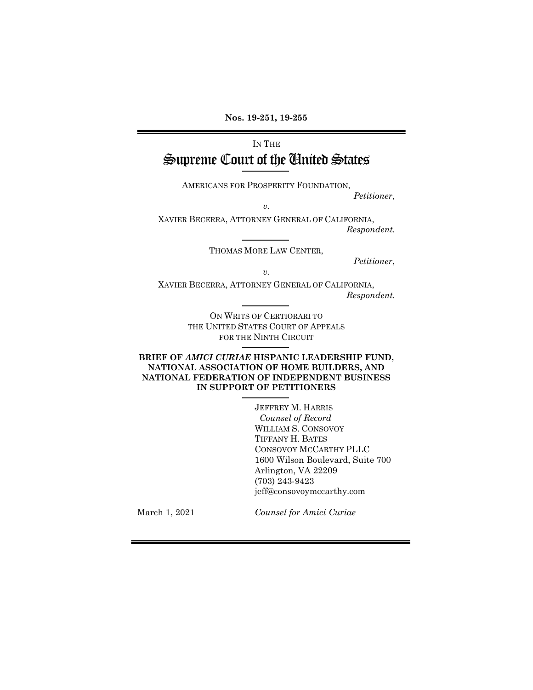**Nos. 19-251, 19-255** 

# IN THE Supreme Court of the United States

AMERICANS FOR PROSPERITY FOUNDATION,

*v.* 

XAVIER BECERRA, ATTORNEY GENERAL OF CALIFORNIA,  *Respondent.*

THOMAS MORE LAW CENTER,

*Petitioner*,

*Petitioner*,

*v.* 

XAVIER BECERRA, ATTORNEY GENERAL OF CALIFORNIA,  *Respondent.*

> ON WRITS OF CERTIORARI TO THE UNITED STATES COURT OF APPEALS FOR THE NINTH CIRCUIT

#### **BRIEF OF** *AMICI CURIAE* **HISPANIC LEADERSHIP FUND, NATIONAL ASSOCIATION OF HOME BUILDERS, AND NATIONAL FEDERATION OF INDEPENDENT BUSINESS IN SUPPORT OF PETITIONERS**

JEFFREY M. HARRIS *Counsel of Record* WILLIAM S. CONSOVOY TIFFANY H. BATES CONSOVOY MCCARTHY PLLC 1600 Wilson Boulevard, Suite 700 Arlington, VA 22209 (703) 243-9423 jeff@consovoymccarthy.com

March 1, 2021

*Counsel for Amici Curiae*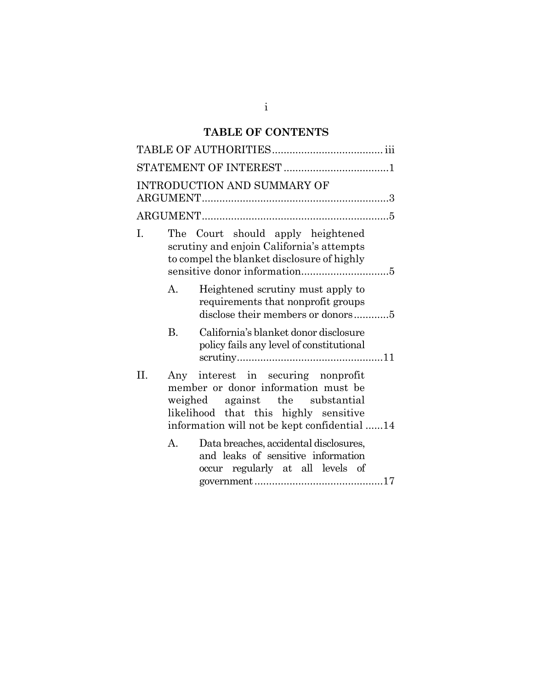# **TABLE OF CONTENTS**

| INTRODUCTION AND SUMMARY OF |           |                                                                                                                                                                                                       |  |  |  |  |
|-----------------------------|-----------|-------------------------------------------------------------------------------------------------------------------------------------------------------------------------------------------------------|--|--|--|--|
|                             |           |                                                                                                                                                                                                       |  |  |  |  |
| Ι.                          |           | The Court should apply heightened<br>scrutiny and enjoin California's attempts<br>to compel the blanket disclosure of highly                                                                          |  |  |  |  |
|                             | A.        | Heightened scrutiny must apply to<br>requirements that nonprofit groups<br>disclose their members or donors5                                                                                          |  |  |  |  |
|                             | <b>B.</b> | California's blanket donor disclosure<br>policy fails any level of constitutional                                                                                                                     |  |  |  |  |
| II.                         |           | Any interest in securing nonprofit<br>member or donor information must be<br>weighed against the substantial<br>likelihood that this highly sensitive<br>information will not be kept confidential 14 |  |  |  |  |
|                             | A.        | Data breaches, accidental disclosures,<br>and leaks of sensitive information<br>regularly at all levels of<br>occur                                                                                   |  |  |  |  |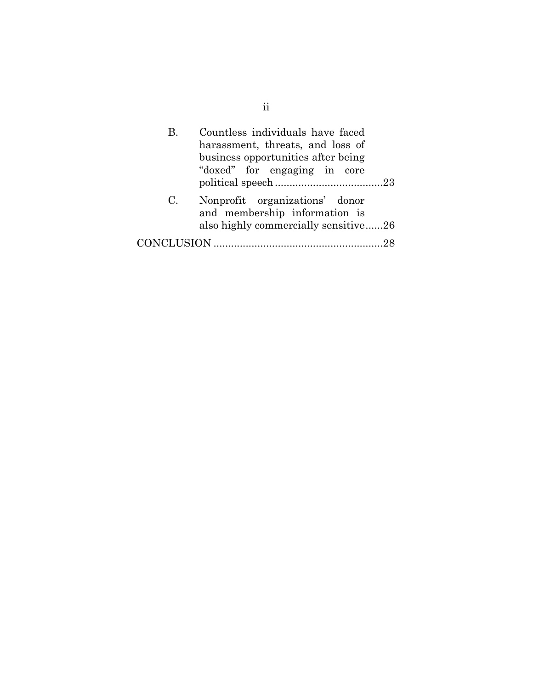| В. | Countless individuals have faced<br>harassment, threats, and loss of<br>business opportunities after being<br>"doxed" for engaging in core |
|----|--------------------------------------------------------------------------------------------------------------------------------------------|
| C. | Nonprofit organizations' donor<br>and membership information is<br>also highly commercially sensitive26                                    |
|    |                                                                                                                                            |

ii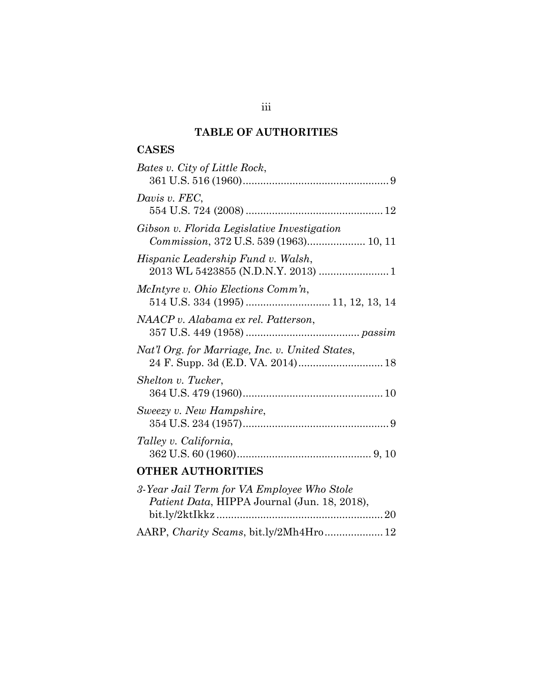## **TABLE OF AUTHORITIES**

# **CASES**

| Bates v. City of Little Rock,                                                              |
|--------------------------------------------------------------------------------------------|
| Davis v. FEC,                                                                              |
| Gibson v. Florida Legislative Investigation<br>Commission, 372 U.S. 539 (1963) 10, 11      |
| Hispanic Leadership Fund v. Walsh,                                                         |
| McIntyre v. Ohio Elections Comm'n,<br>514 U.S. 334 (1995)  11, 12, 13, 14                  |
| NAACP v. Alabama ex rel. Patterson,                                                        |
| Nat'l Org. for Marriage, Inc. v. United States,                                            |
| Shelton v. Tucker,                                                                         |
| Sweezy v. New Hampshire,                                                                   |
| Talley v. California,                                                                      |
| <b>OTHER AUTHORITIES</b>                                                                   |
| 3-Year Jail Term for VA Employee Who Stole<br>Patient Data, HIPPA Journal (Jun. 18, 2018), |

AARP, *Charity Scams*, bit.ly/2Mh4Hro....................12

| u. | u | u |  |
|----|---|---|--|
|    |   |   |  |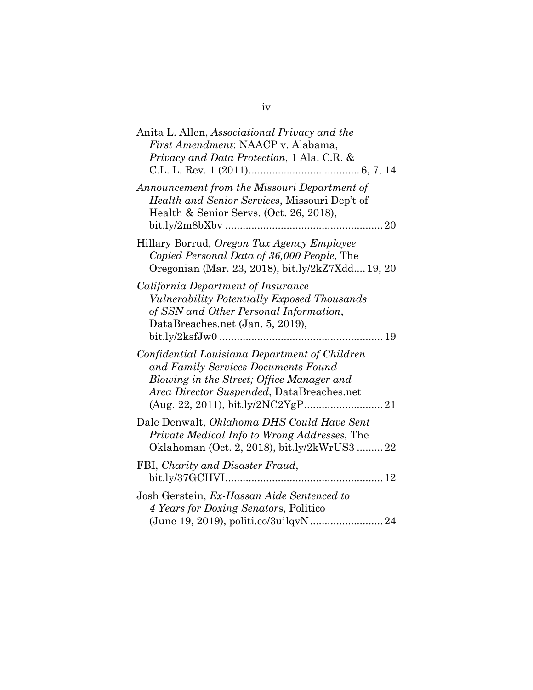| Anita L. Allen, Associational Privacy and the<br>First Amendment: NAACP v. Alabama,<br>Privacy and Data Protection, 1 Ala. C.R. &                                                                                      |
|------------------------------------------------------------------------------------------------------------------------------------------------------------------------------------------------------------------------|
| Announcement from the Missouri Department of<br>Health and Senior Services, Missouri Dep't of<br>Health & Senior Servs. (Oct. 26, 2018),<br>$bit. ly/2m8bXbv$<br>20                                                    |
| Hillary Borrud, Oregon Tax Agency Employee<br>Copied Personal Data of 36,000 People, The<br>Oregonian (Mar. 23, 2018), bit.ly/2kZ7Xdd 19, 20                                                                           |
| California Department of Insurance<br>Vulnerability Potentially Exposed Thousands<br>of SSN and Other Personal Information,<br>DataBreaches.net (Jan. 5, 2019),                                                        |
| Confidential Louisiana Department of Children<br>and Family Services Documents Found<br>Blowing in the Street; Office Manager and<br>Area Director Suspended, DataBreaches.net<br>$(Aug. 22, 2011), bit. ly/2NC2YgP21$ |
| Dale Denwalt, Oklahoma DHS Could Have Sent<br><i>Private Medical Info to Wrong Addresses, The</i><br>Oklahoman (Oct. 2, 2018), bit.ly/2kWrUS322                                                                        |
| FBI, Charity and Disaster Fraud,                                                                                                                                                                                       |
| Josh Gerstein, Ex-Hassan Aide Sentenced to<br>4 Years for Doxing Senators, Politico<br>(June 19, 2019), politi.co/3uilqvN 24                                                                                           |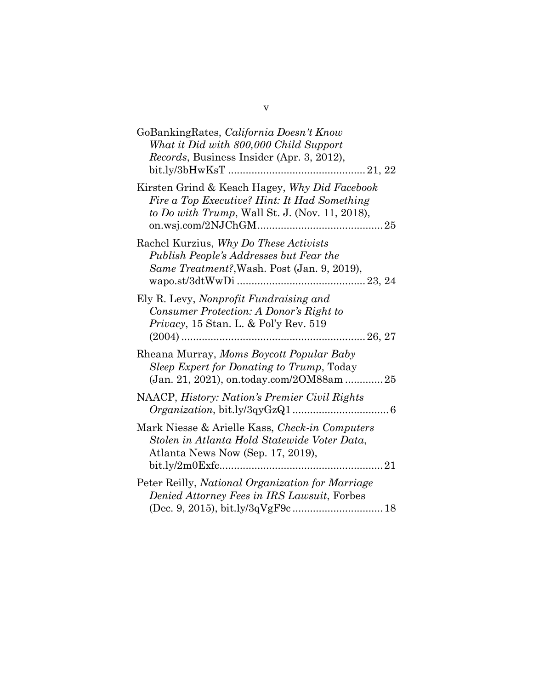| GoBankingRates, California Doesn't Know<br>What it Did with 800,000 Child Support<br>Records, Business Insider (Apr. 3, 2012),                  |
|-------------------------------------------------------------------------------------------------------------------------------------------------|
| Kirsten Grind & Keach Hagey, Why Did Facebook<br>Fire a Top Executive? Hint: It Had Something<br>to Do with Trump, Wall St. J. (Nov. 11, 2018), |
| Rachel Kurzius, Why Do These Activists<br>Publish People's Addresses but Fear the<br>Same Treatment?, Wash. Post (Jan. 9, 2019),                |
| Ely R. Levy, Nonprofit Fundraising and<br>Consumer Protection: A Donor's Right to<br>Privacy, 15 Stan. L. & Pol'y Rev. 519                      |
| Rheana Murray, Moms Boycott Popular Baby<br>Sleep Expert for Donating to Trump, Today<br>(Jan. 21, 2021), on.today.com/2OM88am 25               |
| NAACP, History: Nation's Premier Civil Rights                                                                                                   |
| Mark Niesse & Arielle Kass, Check-in Computers<br>Stolen in Atlanta Hold Statewide Voter Data,<br>Atlanta News Now (Sep. 17, 2019),             |
| Peter Reilly, National Organization for Marriage<br>Denied Attorney Fees in IRS Lawsuit, Forbes                                                 |

v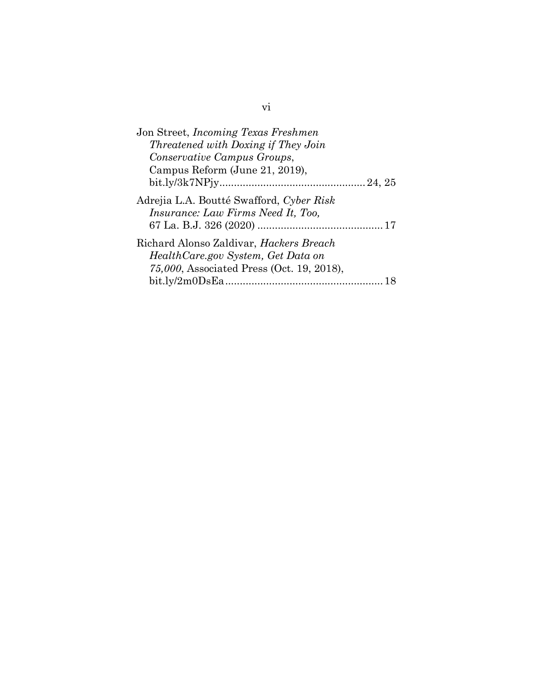| Jon Street, <i>Incoming Texas Freshmen</i>                                                                                         |  |
|------------------------------------------------------------------------------------------------------------------------------------|--|
| Threatened with Doxing if They Join                                                                                                |  |
| Conservative Campus Groups,                                                                                                        |  |
| Campus Reform (June 21, 2019),                                                                                                     |  |
|                                                                                                                                    |  |
| Adrejia L.A. Boutté Swafford, Cyber Risk<br><i>Insurance: Law Firms Need It, Too,</i>                                              |  |
| Richard Alonso Zaldivar, <i>Hackers Breach</i><br>Health Care.gov System, Get Data on<br>75,000, Associated Press (Oct. 19, 2018), |  |
|                                                                                                                                    |  |

vi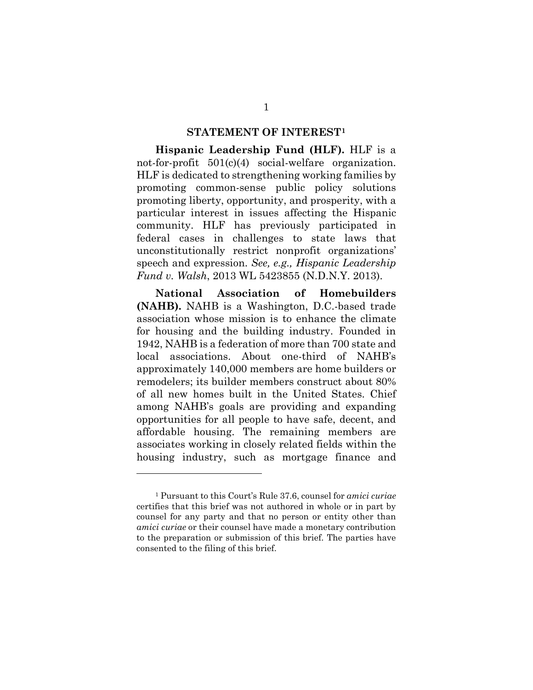#### **STATEMENT OF INTEREST[1](#page-7-0)**

**Hispanic Leadership Fund (HLF).** HLF is a not-for-profit 501(c)(4) social-welfare organization. HLF is dedicated to strengthening working families by promoting common-sense public policy solutions promoting liberty, opportunity, and prosperity, with a particular interest in issues affecting the Hispanic community. HLF has previously participated in federal cases in challenges to state laws that unconstitutionally restrict nonprofit organizations' speech and expression. *See, e.g., Hispanic Leadership Fund v. Walsh*, 2013 WL 5423855 (N.D.N.Y. 2013).

**National Association of Homebuilders (NAHB).** NAHB is a Washington, D.C.-based trade association whose mission is to enhance the climate for housing and the building industry. Founded in 1942, NAHB is a federation of more than 700 state and local associations. About one-third of NAHB's approximately 140,000 members are home builders or remodelers; its builder members construct about 80% of all new homes built in the United States. Chief among NAHB's goals are providing and expanding opportunities for all people to have safe, decent, and affordable housing. The remaining members are associates working in closely related fields within the housing industry, such as mortgage finance and

<span id="page-7-0"></span><sup>1</sup> Pursuant to this Court's Rule 37.6, counsel for *amici curiae* certifies that this brief was not authored in whole or in part by counsel for any party and that no person or entity other than *amici curiae* or their counsel have made a monetary contribution to the preparation or submission of this brief. The parties have consented to the filing of this brief.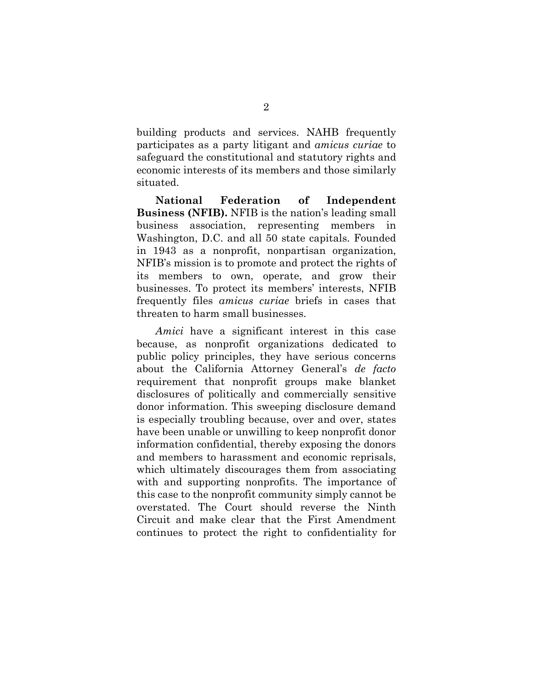building products and services. NAHB frequently participates as a party litigant and *amicus curiae* to safeguard the constitutional and statutory rights and economic interests of its members and those similarly situated.

**National Federation of Independent Business (NFIB).** NFIB is the nation's leading small business association, representing members in Washington, D.C. and all 50 state capitals. Founded in 1943 as a nonprofit, nonpartisan organization, NFIB's mission is to promote and protect the rights of its members to own, operate, and grow their businesses. To protect its members' interests, NFIB frequently files *amicus curiae* briefs in cases that threaten to harm small businesses.

*Amici* have a significant interest in this case because, as nonprofit organizations dedicated to public policy principles, they have serious concerns about the California Attorney General's *de facto*  requirement that nonprofit groups make blanket disclosures of politically and commercially sensitive donor information. This sweeping disclosure demand is especially troubling because, over and over, states have been unable or unwilling to keep nonprofit donor information confidential, thereby exposing the donors and members to harassment and economic reprisals, which ultimately discourages them from associating with and supporting nonprofits. The importance of this case to the nonprofit community simply cannot be overstated. The Court should reverse the Ninth Circuit and make clear that the First Amendment continues to protect the right to confidentiality for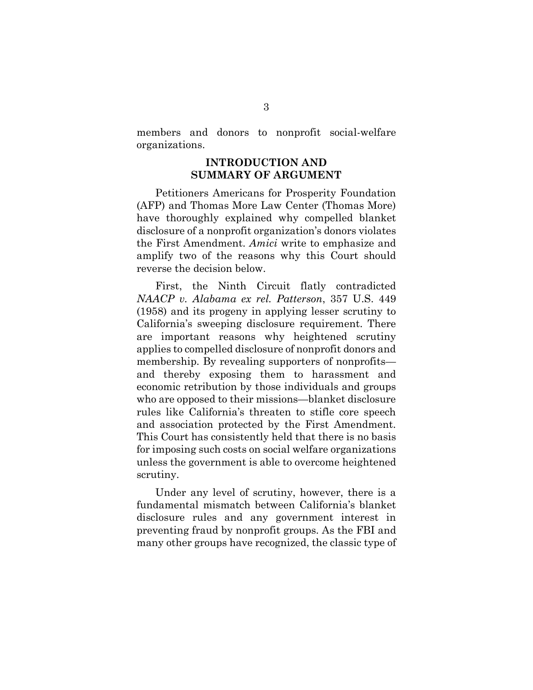members and donors to nonprofit social-welfare organizations.

#### **INTRODUCTION AND SUMMARY OF ARGUMENT**

Petitioners Americans for Prosperity Foundation (AFP) and Thomas More Law Center (Thomas More) have thoroughly explained why compelled blanket disclosure of a nonprofit organization's donors violates the First Amendment. *Amici* write to emphasize and amplify two of the reasons why this Court should reverse the decision below.

First, the Ninth Circuit flatly contradicted *NAACP v. Alabama ex rel. Patterson*, 357 U.S. 449 (1958) and its progeny in applying lesser scrutiny to California's sweeping disclosure requirement. There are important reasons why heightened scrutiny applies to compelled disclosure of nonprofit donors and membership. By revealing supporters of nonprofits and thereby exposing them to harassment and economic retribution by those individuals and groups who are opposed to their missions—blanket disclosure rules like California's threaten to stifle core speech and association protected by the First Amendment. This Court has consistently held that there is no basis for imposing such costs on social welfare organizations unless the government is able to overcome heightened scrutiny.

Under any level of scrutiny, however, there is a fundamental mismatch between California's blanket disclosure rules and any government interest in preventing fraud by nonprofit groups. As the FBI and many other groups have recognized, the classic type of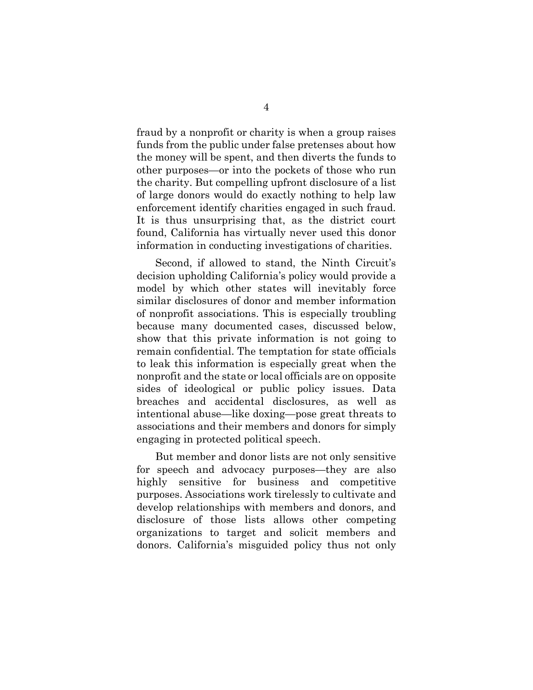fraud by a nonprofit or charity is when a group raises funds from the public under false pretenses about how the money will be spent, and then diverts the funds to other purposes—or into the pockets of those who run the charity. But compelling upfront disclosure of a list of large donors would do exactly nothing to help law enforcement identify charities engaged in such fraud. It is thus unsurprising that, as the district court found, California has virtually never used this donor information in conducting investigations of charities.

Second, if allowed to stand, the Ninth Circuit's decision upholding California's policy would provide a model by which other states will inevitably force similar disclosures of donor and member information of nonprofit associations. This is especially troubling because many documented cases, discussed below, show that this private information is not going to remain confidential. The temptation for state officials to leak this information is especially great when the nonprofit and the state or local officials are on opposite sides of ideological or public policy issues. Data breaches and accidental disclosures, as well as intentional abuse—like doxing—pose great threats to associations and their members and donors for simply engaging in protected political speech.

But member and donor lists are not only sensitive for speech and advocacy purposes—they are also highly sensitive for business and competitive purposes. Associations work tirelessly to cultivate and develop relationships with members and donors, and disclosure of those lists allows other competing organizations to target and solicit members and donors. California's misguided policy thus not only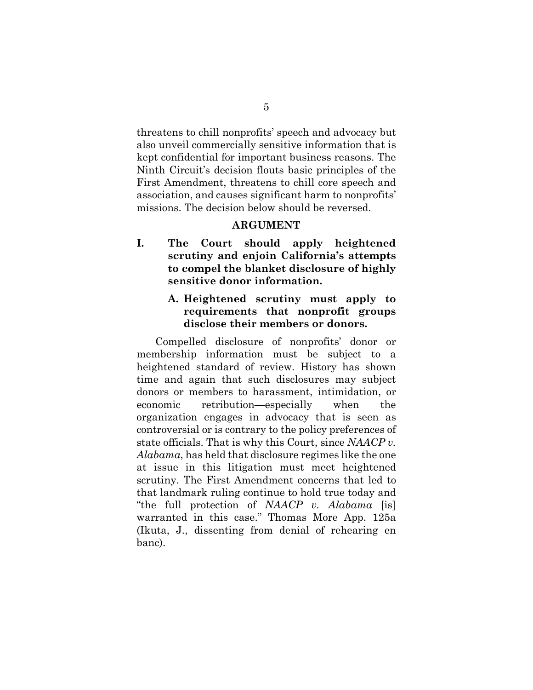threatens to chill nonprofits' speech and advocacy but also unveil commercially sensitive information that is kept confidential for important business reasons. The Ninth Circuit's decision flouts basic principles of the First Amendment, threatens to chill core speech and association, and causes significant harm to nonprofits' missions. The decision below should be reversed.

#### **ARGUMENT**

**I. The Court should apply heightened scrutiny and enjoin California's attempts to compel the blanket disclosure of highly sensitive donor information.** 

#### **A. Heightened scrutiny must apply to requirements that nonprofit groups disclose their members or donors.**

Compelled disclosure of nonprofits' donor or membership information must be subject to a heightened standard of review. History has shown time and again that such disclosures may subject donors or members to harassment, intimidation, or economic retribution—especially when the organization engages in advocacy that is seen as controversial or is contrary to the policy preferences of state officials. That is why this Court, since *NAACP v. Alabama*, has held that disclosure regimes like the one at issue in this litigation must meet heightened scrutiny. The First Amendment concerns that led to that landmark ruling continue to hold true today and "the full protection of *NAACP v. Alabama* [is] warranted in this case." Thomas More App. 125a (Ikuta, J., dissenting from denial of rehearing en banc).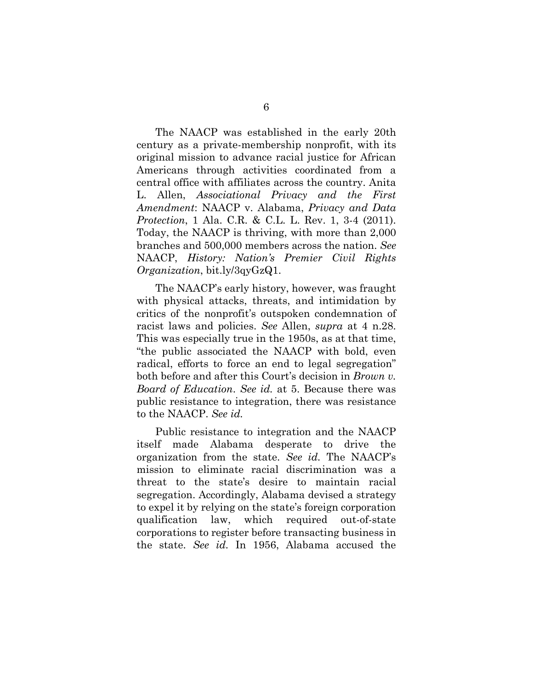The NAACP was established in the early 20th century as a private-membership nonprofit, with its original mission to advance racial justice for African Americans through activities coordinated from a central office with affiliates across the country. Anita L. Allen, *Associational Privacy and the First Amendment*: NAACP v. Alabama, *Privacy and Data Protection*, 1 Ala. C.R. & C.L. L. Rev. 1, 3-4 (2011). Today, the NAACP is thriving, with more than 2,000 branches and 500,000 members across the nation. *See*  NAACP, *History: Nation's Premier Civil Rights Organization*, bit.ly/3qyGzQ1.

The NAACP's early history, however, was fraught with physical attacks, threats, and intimidation by critics of the nonprofit's outspoken condemnation of racist laws and policies. *See* Allen, *supra* at 4 n.28. This was especially true in the 1950s, as at that time, "the public associated the NAACP with bold, even radical, efforts to force an end to legal segregation" both before and after this Court's decision in *Brown v. Board of Education*. *See id.* at 5. Because there was public resistance to integration, there was resistance to the NAACP. *See id.*

Public resistance to integration and the NAACP itself made Alabama desperate to drive the organization from the state. *See id.* The NAACP's mission to eliminate racial discrimination was a threat to the state's desire to maintain racial segregation. Accordingly, Alabama devised a strategy to expel it by relying on the state's foreign corporation qualification law, which required out-of-state corporations to register before transacting business in the state. *See id.* In 1956, Alabama accused the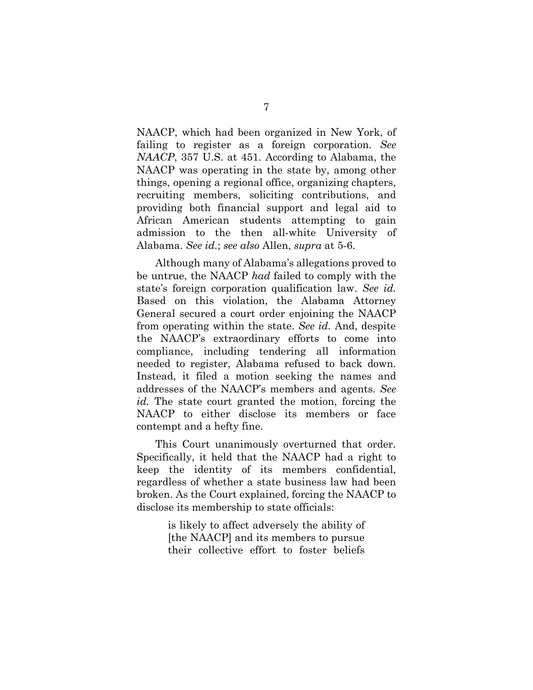NAACP, which had been organized in New York, of failing to register as a foreign corporation. *See NAACP*, 357 U.S. at 451. According to Alabama, the NAACP was operating in the state by, among other things, opening a regional office, organizing chapters, recruiting members, soliciting contributions, and providing both financial support and legal aid to African American students attempting to gain admission to the then all-white University of Alabama. *See id.*; *see also* Allen, *supra* at 5-6.

Although many of Alabama's allegations proved to be untrue, the NAACP *had* failed to comply with the state's foreign corporation qualification law. *See id.* Based on this violation, the Alabama Attorney General secured a court order enjoining the NAACP from operating within the state. *See id.* And, despite the NAACP's extraordinary efforts to come into compliance, including tendering all information needed to register, Alabama refused to back down. Instead, it filed a motion seeking the names and addresses of the NAACP's members and agents. *See id.* The state court granted the motion, forcing the NAACP to either disclose its members or face contempt and a hefty fine.

This Court unanimously overturned that order. Specifically, it held that the NAACP had a right to keep the identity of its members confidential, regardless of whether a state business law had been broken. As the Court explained, forcing the NAACP to disclose its membership to state officials:

> is likely to affect adversely the ability of [the NAACP] and its members to pursue their collective effort to foster beliefs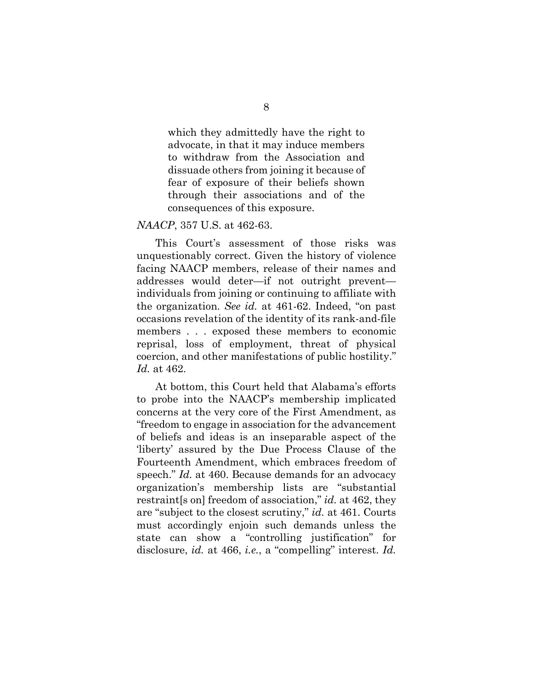which they admittedly have the right to advocate, in that it may induce members to withdraw from the Association and dissuade others from joining it because of fear of exposure of their beliefs shown through their associations and of the consequences of this exposure.

#### *NAACP*, 357 U.S. at 462-63.

This Court's assessment of those risks was unquestionably correct. Given the history of violence facing NAACP members, release of their names and addresses would deter—if not outright prevent individuals from joining or continuing to affiliate with the organization. *See id.* at 461-62. Indeed, "on past occasions revelation of the identity of its rank-and-file members . . . exposed these members to economic reprisal, loss of employment, threat of physical coercion, and other manifestations of public hostility." *Id.* at 462.

At bottom, this Court held that Alabama's efforts to probe into the NAACP's membership implicated concerns at the very core of the First Amendment, as "freedom to engage in association for the advancement of beliefs and ideas is an inseparable aspect of the 'liberty' assured by the Due Process Clause of the Fourteenth Amendment, which embraces freedom of speech." *Id.* at 460. Because demands for an advocacy organization's membership lists are "substantial restraint[s on] freedom of association," *id.* at 462, they are "subject to the closest scrutiny," *id.* at 461. Courts must accordingly enjoin such demands unless the state can show a "controlling justification" for disclosure, *id.* at 466, *i.e.*, a "compelling" interest. *Id.*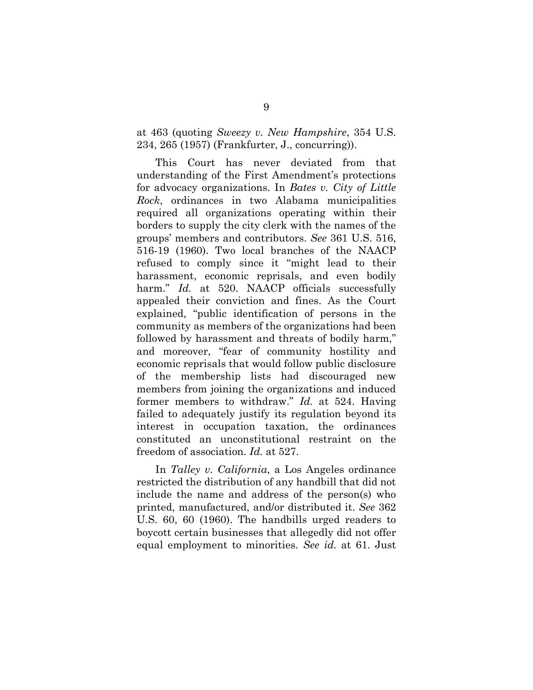at 463 (quoting *Sweezy v. New Hampshire*, 354 U.S. 234, 265 (1957) (Frankfurter, J., concurring)).

This Court has never deviated from that understanding of the First Amendment's protections for advocacy organizations. In *Bates v. City of Little Rock*, ordinances in two Alabama municipalities required all organizations operating within their borders to supply the city clerk with the names of the groups' members and contributors. *See* 361 U.S. 516, 516-19 (1960). Two local branches of the NAACP refused to comply since it "might lead to their harassment, economic reprisals, and even bodily harm." *Id.* at 520. NAACP officials successfully appealed their conviction and fines. As the Court explained, "public identification of persons in the community as members of the organizations had been followed by harassment and threats of bodily harm," and moreover, "fear of community hostility and economic reprisals that would follow public disclosure of the membership lists had discouraged new members from joining the organizations and induced former members to withdraw." *Id.* at 524. Having failed to adequately justify its regulation beyond its interest in occupation taxation, the ordinances constituted an unconstitutional restraint on the freedom of association. *Id.* at 527.

In *Talley v. California*, a Los Angeles ordinance restricted the distribution of any handbill that did not include the name and address of the person(s) who printed, manufactured, and/or distributed it. *See* 362 U.S. 60, 60 (1960). The handbills urged readers to boycott certain businesses that allegedly did not offer equal employment to minorities. *See id.* at 61. Just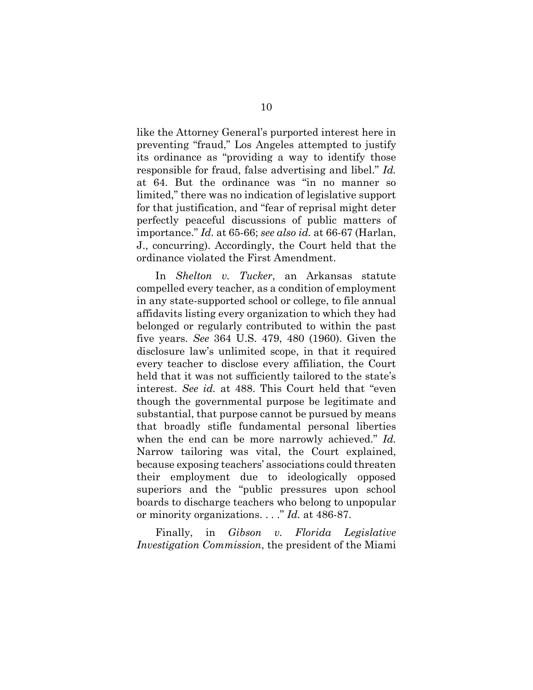like the Attorney General's purported interest here in preventing "fraud," Los Angeles attempted to justify its ordinance as "providing a way to identify those responsible for fraud, false advertising and libel." *Id.* at 64. But the ordinance was "in no manner so limited," there was no indication of legislative support for that justification, and "fear of reprisal might deter perfectly peaceful discussions of public matters of importance." *Id.* at 65-66; *see also id.* at 66-67 (Harlan, J., concurring). Accordingly, the Court held that the ordinance violated the First Amendment.

In *Shelton v. Tucker*, an Arkansas statute compelled every teacher, as a condition of employment in any state-supported school or college, to file annual affidavits listing every organization to which they had belonged or regularly contributed to within the past five years. *See* 364 U.S. 479, 480 (1960). Given the disclosure law's unlimited scope, in that it required every teacher to disclose every affiliation, the Court held that it was not sufficiently tailored to the state's interest. *See id.* at 488. This Court held that "even though the governmental purpose be legitimate and substantial, that purpose cannot be pursued by means that broadly stifle fundamental personal liberties when the end can be more narrowly achieved." *Id.* Narrow tailoring was vital, the Court explained, because exposing teachers' associations could threaten their employment due to ideologically opposed superiors and the "public pressures upon school boards to discharge teachers who belong to unpopular or minority organizations. . . ." *Id.* at 486-87.

Finally, in *Gibson v. Florida Legislative Investigation Commission*, the president of the Miami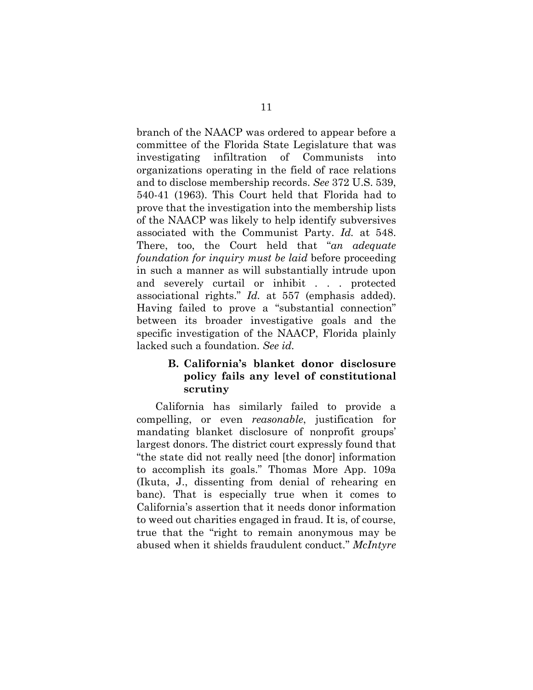branch of the NAACP was ordered to appear before a committee of the Florida State Legislature that was investigating infiltration of Communists into organizations operating in the field of race relations and to disclose membership records. *See* 372 U.S. 539, 540-41 (1963). This Court held that Florida had to prove that the investigation into the membership lists of the NAACP was likely to help identify subversives associated with the Communist Party. *Id.* at 548. There, too, the Court held that "*an adequate foundation for inquiry must be laid* before proceeding in such a manner as will substantially intrude upon and severely curtail or inhibit . . . protected associational rights." *Id.* at 557 (emphasis added). Having failed to prove a "substantial connection" between its broader investigative goals and the specific investigation of the NAACP, Florida plainly lacked such a foundation. *See id.*

## **B. California's blanket donor disclosure policy fails any level of constitutional scrutiny**

California has similarly failed to provide a compelling, or even *reasonable*, justification for mandating blanket disclosure of nonprofit groups' largest donors. The district court expressly found that "the state did not really need [the donor] information to accomplish its goals." Thomas More App. 109a (Ikuta, J., dissenting from denial of rehearing en banc). That is especially true when it comes to California's assertion that it needs donor information to weed out charities engaged in fraud. It is, of course, true that the "right to remain anonymous may be abused when it shields fraudulent conduct." *McIntyre*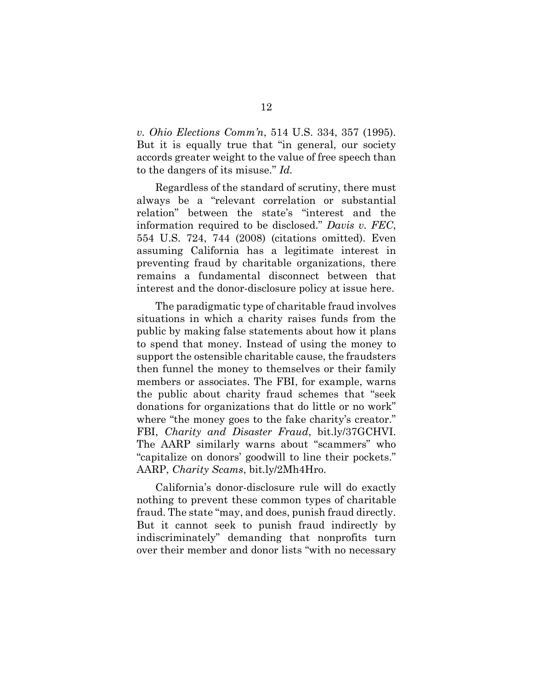*v. Ohio Elections Comm'n*, 514 U.S. 334, 357 (1995). But it is equally true that "in general, our society accords greater weight to the value of free speech than to the dangers of its misuse." *Id.*

Regardless of the standard of scrutiny, there must always be a "relevant correlation or substantial relation" between the state's "interest and the information required to be disclosed." *Davis v. FEC*, 554 U.S. 724, 744 (2008) (citations omitted). Even assuming California has a legitimate interest in preventing fraud by charitable organizations, there remains a fundamental disconnect between that interest and the donor-disclosure policy at issue here.

The paradigmatic type of charitable fraud involves situations in which a charity raises funds from the public by making false statements about how it plans to spend that money. Instead of using the money to support the ostensible charitable cause, the fraudsters then funnel the money to themselves or their family members or associates. The FBI, for example, warns the public about charity fraud schemes that "seek donations for organizations that do little or no work" where "the money goes to the fake charity's creator." FBI, *Charity and Disaster Fraud*, bit.ly/37GCHVI. The AARP similarly warns about "scammers" who "capitalize on donors' goodwill to line their pockets." AARP, *Charity Scams*, bit.ly/2Mh4Hro.

California's donor-disclosure rule will do exactly nothing to prevent these common types of charitable fraud. The state "may, and does, punish fraud directly. But it cannot seek to punish fraud indirectly by indiscriminately" demanding that nonprofits turn over their member and donor lists "with no necessary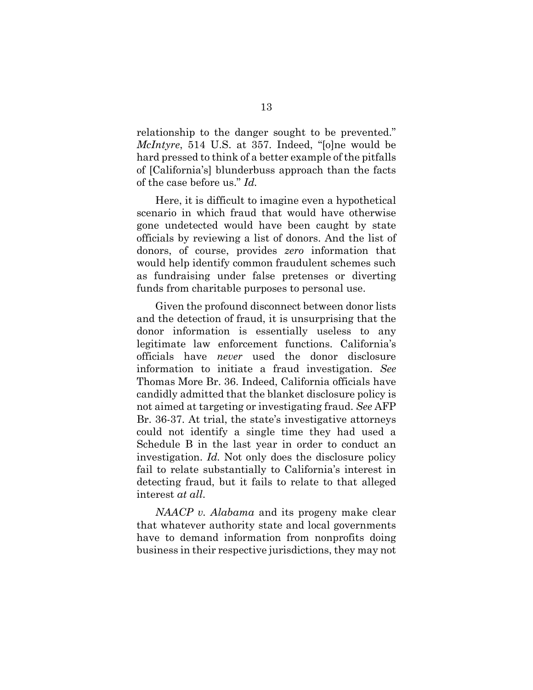relationship to the danger sought to be prevented." *McIntyre*, 514 U.S. at 357. Indeed, "[o]ne would be hard pressed to think of a better example of the pitfalls of [California's] blunderbuss approach than the facts of the case before us." *Id.*

Here, it is difficult to imagine even a hypothetical scenario in which fraud that would have otherwise gone undetected would have been caught by state officials by reviewing a list of donors. And the list of donors, of course, provides *zero* information that would help identify common fraudulent schemes such as fundraising under false pretenses or diverting funds from charitable purposes to personal use.

Given the profound disconnect between donor lists and the detection of fraud, it is unsurprising that the donor information is essentially useless to any legitimate law enforcement functions. California's officials have *never* used the donor disclosure information to initiate a fraud investigation. *See*  Thomas More Br. 36. Indeed, California officials have candidly admitted that the blanket disclosure policy is not aimed at targeting or investigating fraud. *See* AFP Br. 36-37. At trial, the state's investigative attorneys could not identify a single time they had used a Schedule B in the last year in order to conduct an investigation. *Id.* Not only does the disclosure policy fail to relate substantially to California's interest in detecting fraud, but it fails to relate to that alleged interest *at all*.

*NAACP v. Alabama* and its progeny make clear that whatever authority state and local governments have to demand information from nonprofits doing business in their respective jurisdictions, they may not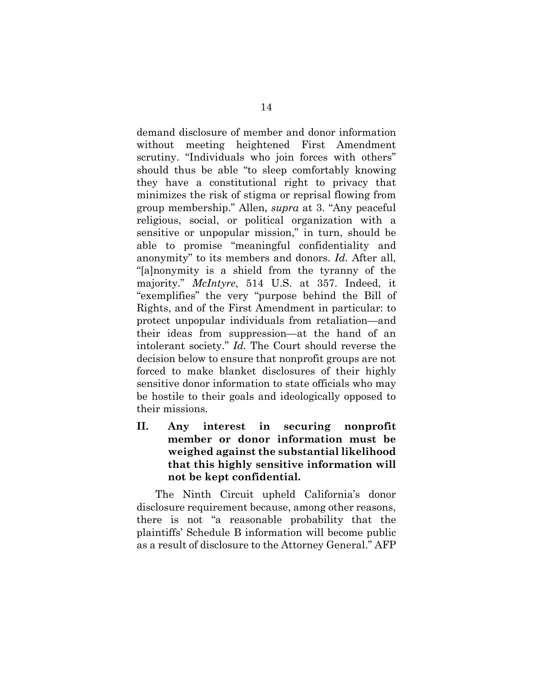demand disclosure of member and donor information without meeting heightened First Amendment scrutiny. "Individuals who join forces with others" should thus be able "to sleep comfortably knowing they have a constitutional right to privacy that minimizes the risk of stigma or reprisal flowing from group membership." Allen, *supra* at 3. "Any peaceful religious, social, or political organization with a sensitive or unpopular mission," in turn, should be able to promise "meaningful confidentiality and anonymity" to its members and donors. *Id.* After all, "[a]nonymity is a shield from the tyranny of the majority." *McIntyre*, 514 U.S. at 357. Indeed, it "exemplifies" the very "purpose behind the Bill of Rights, and of the First Amendment in particular: to protect unpopular individuals from retaliation—and their ideas from suppression—at the hand of an intolerant society." *Id.* The Court should reverse the decision below to ensure that nonprofit groups are not forced to make blanket disclosures of their highly sensitive donor information to state officials who may be hostile to their goals and ideologically opposed to their missions.

**II. Any interest in securing nonprofit member or donor information must be weighed against the substantial likelihood that this highly sensitive information will not be kept confidential.**

The Ninth Circuit upheld California's donor disclosure requirement because, among other reasons, there is not "a reasonable probability that the plaintiffs' Schedule B information will become public as a result of disclosure to the Attorney General." AFP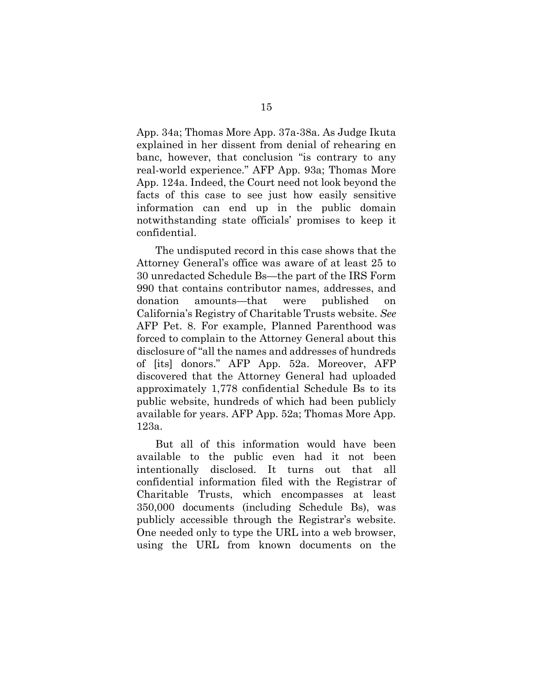App. 34a; Thomas More App. 37a-38a. As Judge Ikuta explained in her dissent from denial of rehearing en banc, however, that conclusion "is contrary to any real-world experience." AFP App. 93a; Thomas More App. 124a. Indeed, the Court need not look beyond the facts of this case to see just how easily sensitive information can end up in the public domain notwithstanding state officials' promises to keep it confidential.

The undisputed record in this case shows that the Attorney General's office was aware of at least 25 to 30 unredacted Schedule Bs—the part of the IRS Form 990 that contains contributor names, addresses, and donation amounts—that were published California's Registry of Charitable Trusts website. *See* AFP Pet. 8. For example, Planned Parenthood was forced to complain to the Attorney General about this disclosure of "all the names and addresses of hundreds of [its] donors." AFP App. 52a. Moreover, AFP discovered that the Attorney General had uploaded approximately 1,778 confidential Schedule Bs to its public website, hundreds of which had been publicly available for years. AFP App. 52a; Thomas More App. 123a.

But all of this information would have been available to the public even had it not been intentionally disclosed. It turns out that all confidential information filed with the Registrar of Charitable Trusts, which encompasses at least 350,000 documents (including Schedule Bs), was publicly accessible through the Registrar's website. One needed only to type the URL into a web browser, using the URL from known documents on the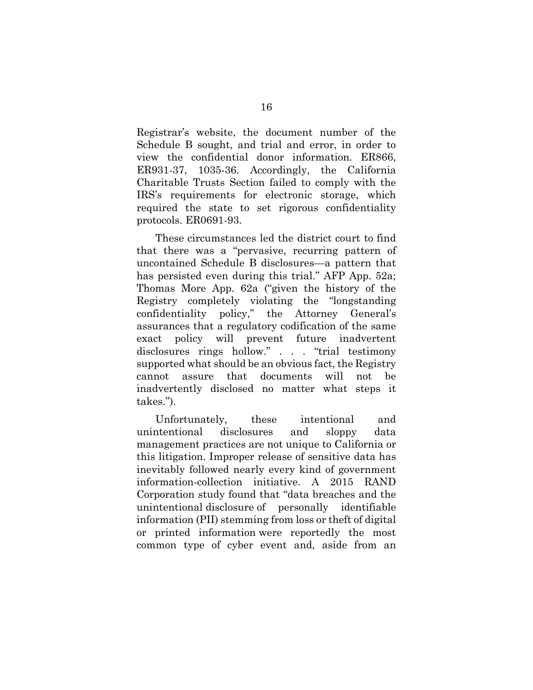Registrar's website, the document number of the Schedule B sought, and trial and error, in order to view the confidential donor information. ER866, ER931-37, 1035-36. Accordingly, the California Charitable Trusts Section failed to comply with the IRS's requirements for electronic storage, which required the state to set rigorous confidentiality protocols. ER0691-93.

These circumstances led the district court to find that there was a "pervasive, recurring pattern of uncontained Schedule B disclosures—a pattern that has persisted even during this trial." AFP App. 52a; Thomas More App. 62a ("given the history of the Registry completely violating the "longstanding confidentiality policy," the Attorney General's assurances that a regulatory codification of the same exact policy will prevent future inadvertent disclosures rings hollow." . . . "trial testimony supported what should be an obvious fact, the Registry cannot assure that documents will not be inadvertently disclosed no matter what steps it takes.").

Unfortunately, these intentional and unintentional disclosures and sloppy data management practices are not unique to California or this litigation. Improper release of sensitive data has inevitably followed nearly every kind of government information-collection initiative. A 2015 RAND Corporation study found that "data breaches and the unintentional disclosure of personally identifiable information (PII) stemming from loss or theft of digital or printed information were reportedly the most common type of cyber event and, aside from an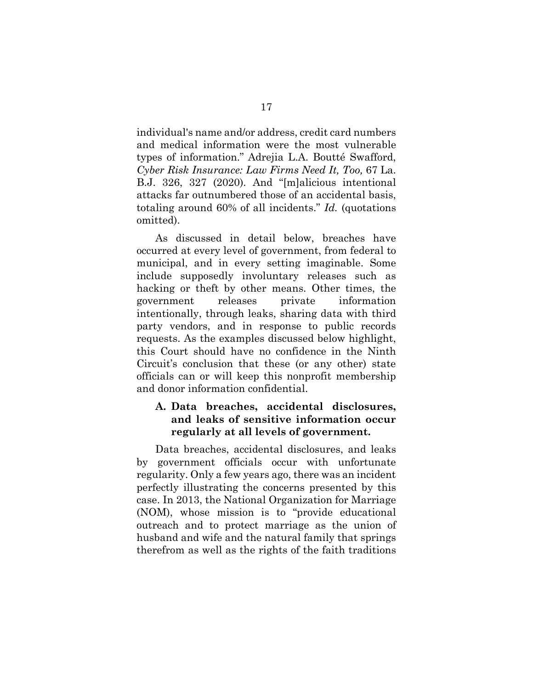individual's name and/or address, credit card numbers and medical information were the most vulnerable types of information." Adrejia L.A. Boutté Swafford, *Cyber Risk Insurance: Law Firms Need It, Too,* 67 La. B.J. 326, 327 (2020). And "[m]alicious intentional attacks far outnumbered those of an accidental basis, totaling around 60% of all incidents." *Id.* (quotations omitted).

As discussed in detail below, breaches have occurred at every level of government, from federal to municipal, and in every setting imaginable. Some include supposedly involuntary releases such as hacking or theft by other means. Other times, the government releases private information intentionally, through leaks, sharing data with third party vendors, and in response to public records requests. As the examples discussed below highlight, this Court should have no confidence in the Ninth Circuit's conclusion that these (or any other) state officials can or will keep this nonprofit membership and donor information confidential.

## **A. Data breaches, accidental disclosures, and leaks of sensitive information occur regularly at all levels of government.**

Data breaches, accidental disclosures, and leaks by government officials occur with unfortunate regularity. Only a few years ago, there was an incident perfectly illustrating the concerns presented by this case. In 2013, the National Organization for Marriage (NOM), whose mission is to "provide educational outreach and to protect marriage as the union of husband and wife and the natural family that springs therefrom as well as the rights of the faith traditions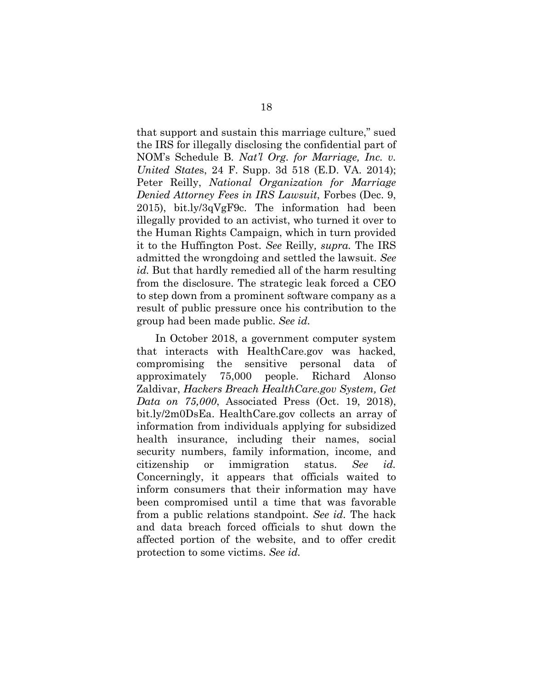that support and sustain this marriage culture," sued the IRS for illegally disclosing the confidential part of NOM's Schedule B. *Nat'l Org. for Marriage, Inc. v. United State*s, 24 F. Supp. 3d 518 (E.D. VA. 2014); Peter Reilly, *National Organization for Marriage Denied Attorney Fees in IRS Lawsuit*, Forbes (Dec. 9, 2015), bit.ly/3qVgF9c. The information had been illegally provided to an activist, who turned it over to the Human Rights Campaign, which in turn provided it to the Huffington Post. *See* Reilly*, supra.* The IRS admitted the wrongdoing and settled the lawsuit. *See id.* But that hardly remedied all of the harm resulting from the disclosure. The strategic leak forced a CEO to step down from a prominent software company as a result of public pressure once his contribution to the group had been made public. *See id.*

In October 2018, a government computer system that interacts with HealthCare.gov was hacked, compromising the sensitive personal data of approximately 75,000 people. Richard Alonso Zaldivar, *Hackers Breach HealthCare.gov System, Get Data on 75,000*, Associated Press (Oct. 19, 2018), bit.ly/2m0DsEa. HealthCare.gov collects an array of information from individuals applying for subsidized health insurance, including their names, social security numbers, family information, income, and citizenship or immigration status. *See id.* Concerningly, it appears that officials waited to inform consumers that their information may have been compromised until a time that was favorable from a public relations standpoint. *See id.* The hack and data breach forced officials to shut down the affected portion of the website, and to offer credit protection to some victims. *See id.*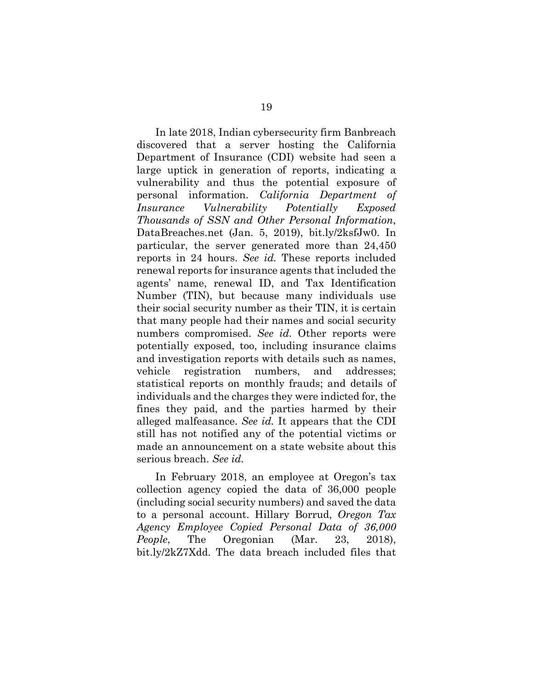In late 2018, Indian cybersecurity firm Banbreach discovered that a server hosting the California Department of Insurance (CDI) website had seen a large uptick in generation of reports, indicating a vulnerability and thus the potential exposure of personal information. *California Department of Insurance Vulnerability Potentially Exposed Thousands of SSN and Other Personal Information*, DataBreaches.net (Jan. 5, 2019), bit.ly/2ksfJw0. In particular, the server generated more than 24,450 reports in 24 hours. *See id.* These reports included renewal reports for insurance agents that included the agents' name, renewal ID, and Tax Identification Number (TIN), but because many individuals use their social security number as their TIN, it is certain that many people had their names and social security numbers compromised. *See id.* Other reports were potentially exposed, too, including insurance claims and investigation reports with details such as names, vehicle registration numbers, and addresses; statistical reports on monthly frauds; and details of individuals and the charges they were indicted for, the fines they paid, and the parties harmed by their alleged malfeasance. *See id.* It appears that the CDI still has not notified any of the potential victims or made an announcement on a state website about this serious breach. *See id.*

In February 2018, an employee at Oregon's tax collection agency copied the data of 36,000 people (including social security numbers) and saved the data to a personal account. Hillary Borrud, *Oregon Tax Agency Employee Copied Personal Data of 36,000 People*, The Oregonian (Mar. 23, 2018), bit.ly/2kZ7Xdd. The data breach included files that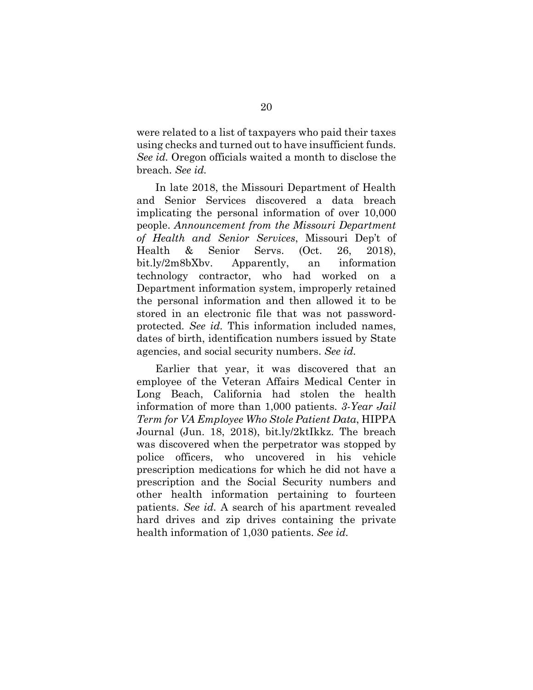were related to a list of taxpayers who paid their taxes using checks and turned out to have insufficient funds. *See id.* Oregon officials waited a month to disclose the breach. *See id.*

In late 2018, the Missouri Department of Health and Senior Services discovered a data breach implicating the personal information of over 10,000 people. *Announcement from the Missouri Department of Health and Senior Services*, Missouri Dep't of Health & Senior Servs. (Oct. 26, 2018), bit.ly/2m8bXbv. Apparently, an information technology contractor, who had worked on a Department information system, improperly retained the personal information and then allowed it to be stored in an electronic file that was not passwordprotected. *See id.* This information included names, dates of birth, identification numbers issued by State agencies, and social security numbers. *See id.*

Earlier that year, it was discovered that an employee of the Veteran Affairs Medical Center in Long Beach, California had stolen the health information of more than 1,000 patients. *3-Year Jail Term for VA Employee Who Stole Patient Data*, HIPPA Journal (Jun. 18, 2018), bit.ly/2ktIkkz. The breach was discovered when the perpetrator was stopped by police officers, who uncovered in his vehicle prescription medications for which he did not have a prescription and the Social Security numbers and other health information pertaining to fourteen patients. *See id.* A search of his apartment revealed hard drives and zip drives containing the private health information of 1,030 patients. *See id.*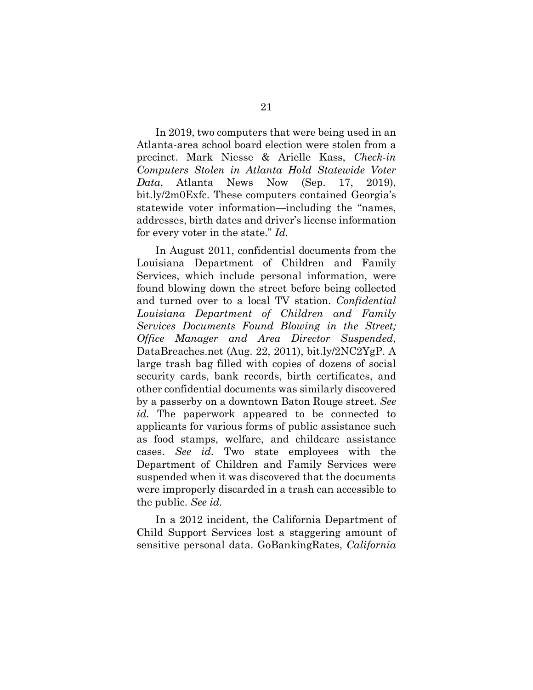In 2019, two computers that were being used in an Atlanta-area school board election were stolen from a precinct. Mark Niesse & Arielle Kass, *Check-in Computers Stolen in Atlanta Hold Statewide Voter Data*, Atlanta News Now (Sep. 17, 2019), bit.ly/2m0Exfc. These computers contained Georgia's statewide voter information—including the "names, addresses, birth dates and driver's license information for every voter in the state." *Id.*

In August 2011, confidential documents from the Louisiana Department of Children and Family Services, which include personal information, were found blowing down the street before being collected and turned over to a local TV station. *Confidential Louisiana Department of Children and Family Services Documents Found Blowing in the Street; Office Manager and Area Director Suspended*, DataBreaches.net (Aug. 22, 2011), bit.ly/2NC2YgP. A large trash bag filled with copies of dozens of social security cards, bank records, birth certificates, and other confidential documents was similarly discovered by a passerby on a downtown Baton Rouge street. *See id.* The paperwork appeared to be connected to applicants for various forms of public assistance such as food stamps, welfare, and childcare assistance cases. *See id.* Two state employees with the Department of Children and Family Services were suspended when it was discovered that the documents were improperly discarded in a trash can accessible to the public. *See id.*

In a 2012 incident, the California Department of Child Support Services lost a staggering amount of sensitive personal data. GoBankingRates, *California*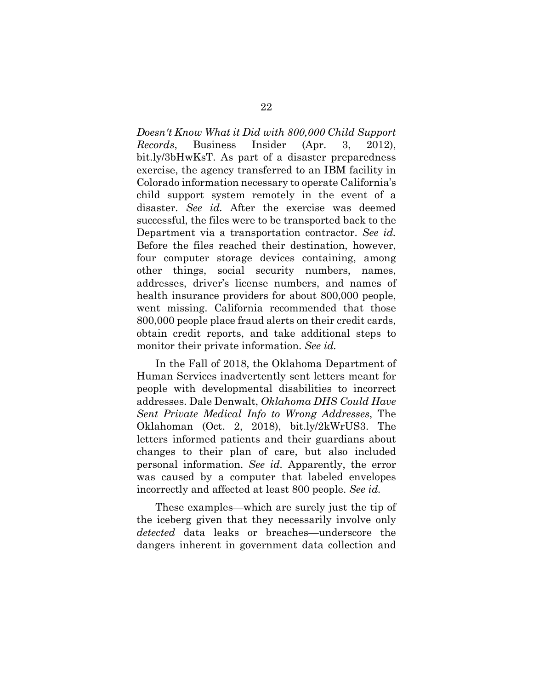*Doesn't Know What it Did with 800,000 Child Support Records*, Business Insider (Apr. 3, 2012), bit.ly/3bHwKsT. As part of a disaster preparedness exercise, the agency transferred to an IBM facility in Colorado information necessary to operate California's child support system remotely in the event of a disaster. *See id.* After the exercise was deemed successful, the files were to be transported back to the Department via a transportation contractor. *See id.* Before the files reached their destination, however, four computer storage devices containing, among other things, social security numbers, names, addresses, driver's license numbers, and names of health insurance providers for about 800,000 people, went missing. California recommended that those 800,000 people place fraud alerts on their credit cards, obtain credit reports, and take additional steps to monitor their private information. *See id.*

In the Fall of 2018, the Oklahoma Department of Human Services inadvertently sent letters meant for people with developmental disabilities to incorrect addresses. Dale Denwalt, *Oklahoma DHS Could Have Sent Private Medical Info to Wrong Addresses*, The Oklahoman (Oct. 2, 2018), bit.ly/2kWrUS3. The letters informed patients and their guardians about changes to their plan of care, but also included personal information. *See id.* Apparently, the error was caused by a computer that labeled envelopes incorrectly and affected at least 800 people. *See id.*

These examples—which are surely just the tip of the iceberg given that they necessarily involve only *detected* data leaks or breaches—underscore the dangers inherent in government data collection and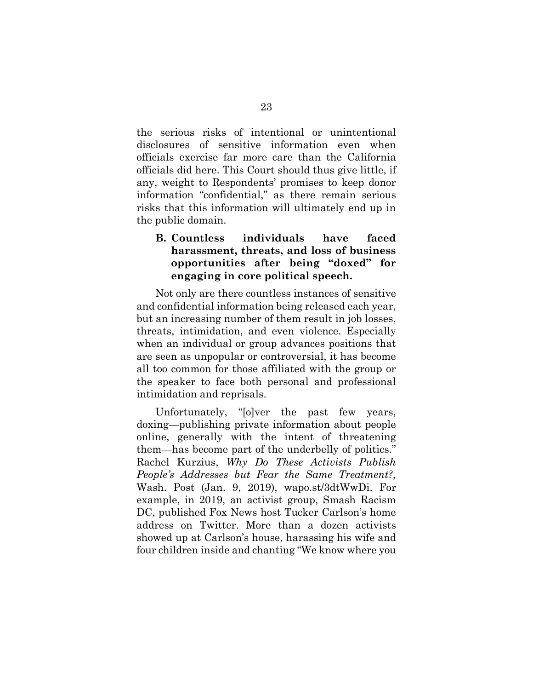the serious risks of intentional or unintentional disclosures of sensitive information even when officials exercise far more care than the California officials did here. This Court should thus give little, if any, weight to Respondents' promises to keep donor information "confidential," as there remain serious risks that this information will ultimately end up in the public domain.

## **B. Countless individuals have faced harassment, threats, and loss of business opportunities after being "doxed" for engaging in core political speech.**

Not only are there countless instances of sensitive and confidential information being released each year, but an increasing number of them result in job losses, threats, intimidation, and even violence. Especially when an individual or group advances positions that are seen as unpopular or controversial, it has become all too common for those affiliated with the group or the speaker to face both personal and professional intimidation and reprisals.

Unfortunately, "[o]ver the past few years, doxing—publishing private information about people online, generally with the intent of threatening them—has become part of the underbelly of politics." Rachel Kurzius, *Why Do These Activists Publish People's Addresses but Fear the Same Treatment?*, Wash. Post (Jan. 9, 2019), wapo.st/3dtWwDi. For example, in 2019, an activist group, Smash Racism DC, published Fox News host Tucker Carlson's home address on Twitter. More than a dozen activists showed up at Carlson's house, harassing his wife and four children inside and chanting "We know where you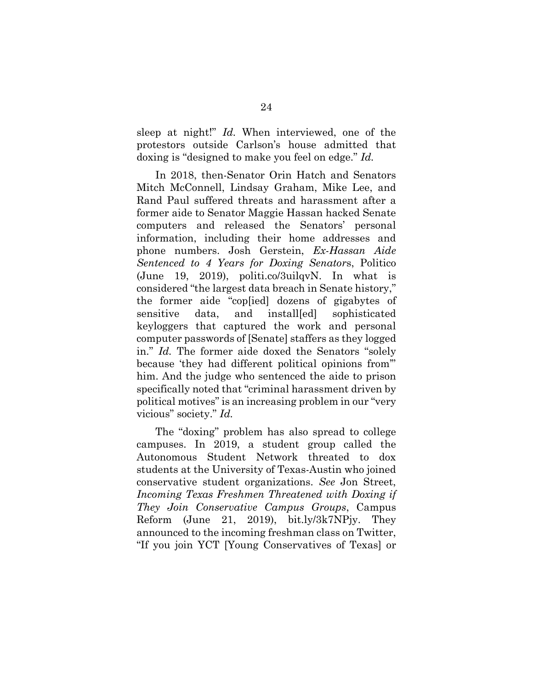sleep at night!" *Id.* When interviewed, one of the protestors outside Carlson's house admitted that doxing is "designed to make you feel on edge." *Id.*

In 2018, then-Senator Orin Hatch and Senators Mitch McConnell, Lindsay Graham, Mike Lee, and Rand Paul suffered threats and harassment after a former aide to Senator Maggie Hassan hacked Senate computers and released the Senators' personal information, including their home addresses and phone numbers. Josh Gerstein, *Ex-Hassan Aide Sentenced to 4 Years for Doxing Senator*s, Politico (June 19, 2019), politi.co/3uilqvN. In what is considered "the largest data breach in Senate history," the former aide "cop[ied] dozens of gigabytes of sensitive data, and install[ed] sophisticated keyloggers that captured the work and personal computer passwords of [Senate] staffers as they logged in." *Id.* The former aide doxed the Senators "solely because 'they had different political opinions from'" him. And the judge who sentenced the aide to prison specifically noted that "criminal harassment driven by political motives" is an increasing problem in our "very vicious" society." *Id.* 

The "doxing" problem has also spread to college campuses. In 2019, a student group called the Autonomous Student Network threated to dox students at the University of Texas-Austin who joined conservative student organizations. *See* Jon Street, *Incoming Texas Freshmen Threatened with Doxing if They Join Conservative Campus Groups*, Campus Reform (June 21, 2019), bit.ly/3k7NPjy. They announced to the incoming freshman class on Twitter, "If you join YCT [Young Conservatives of Texas] or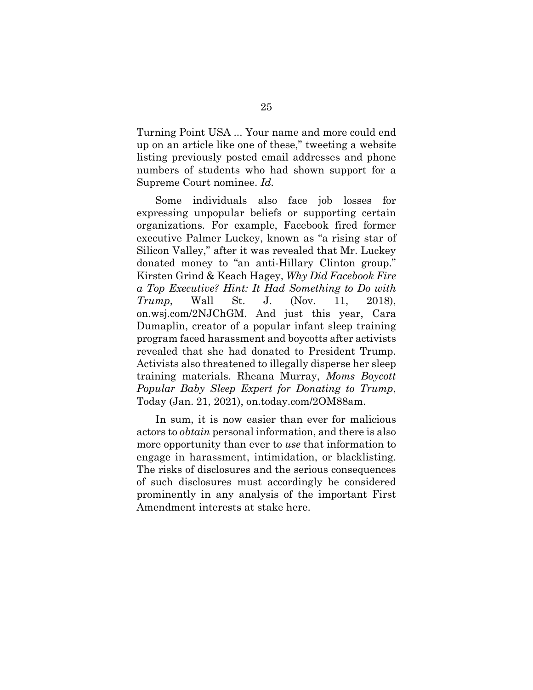Turning Point USA ... Your name and more could end up on an article like one of these," tweeting a website listing previously posted email addresses and phone numbers of students who had shown support for a Supreme Court nominee. *Id.*

Some individuals also face job losses for expressing unpopular beliefs or supporting certain organizations. For example, Facebook fired former executive Palmer Luckey, known as "a rising star of Silicon Valley," after it was revealed that Mr. Luckey donated money to "an anti-Hillary Clinton group." Kirsten Grind & Keach Hagey, *Why Did Facebook Fire a Top Executive? Hint: It Had Something to Do with Trump*, Wall St. J. (Nov. 11, 2018), on.wsj.com/2NJChGM. And just this year, Cara Dumaplin, creator of a popular infant sleep training program faced harassment and boycotts after activists revealed that she had donated to President Trump. Activists also threatened to illegally disperse her sleep training materials. Rheana Murray, *Moms Boycott Popular Baby Sleep Expert for Donating to Trump*, Today (Jan. 21, 2021), on.today.com/2OM88am.

In sum, it is now easier than ever for malicious actors to *obtain* personal information, and there is also more opportunity than ever to *use* that information to engage in harassment, intimidation, or blacklisting. The risks of disclosures and the serious consequences of such disclosures must accordingly be considered prominently in any analysis of the important First Amendment interests at stake here.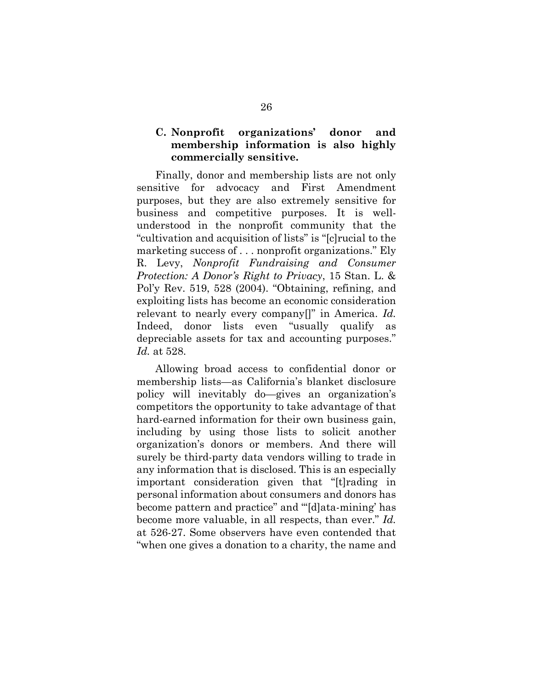### **C. Nonprofit organizations' donor and membership information is also highly commercially sensitive.**

Finally, donor and membership lists are not only sensitive for advocacy and First Amendment purposes, but they are also extremely sensitive for business and competitive purposes. It is wellunderstood in the nonprofit community that the "cultivation and acquisition of lists" is "[c]rucial to the marketing success of . . . nonprofit organizations." Ely R. Levy, *Nonprofit Fundraising and Consumer Protection: A Donor's Right to Privacy*, 15 Stan. L. & Pol'y Rev. 519, 528 (2004). "Obtaining, refining, and exploiting lists has become an economic consideration relevant to nearly every company[]" in America. *Id.* Indeed, donor lists even "usually qualify as depreciable assets for tax and accounting purposes." *Id.* at 528.

Allowing broad access to confidential donor or membership lists—as California's blanket disclosure policy will inevitably do—gives an organization's competitors the opportunity to take advantage of that hard-earned information for their own business gain, including by using those lists to solicit another organization's donors or members. And there will surely be third-party data vendors willing to trade in any information that is disclosed. This is an especially important consideration given that "[t]rading in personal information about consumers and donors has become pattern and practice" and "'[d]ata-mining' has become more valuable, in all respects, than ever." *Id.* at 526-27. Some observers have even contended that "when one gives a donation to a charity, the name and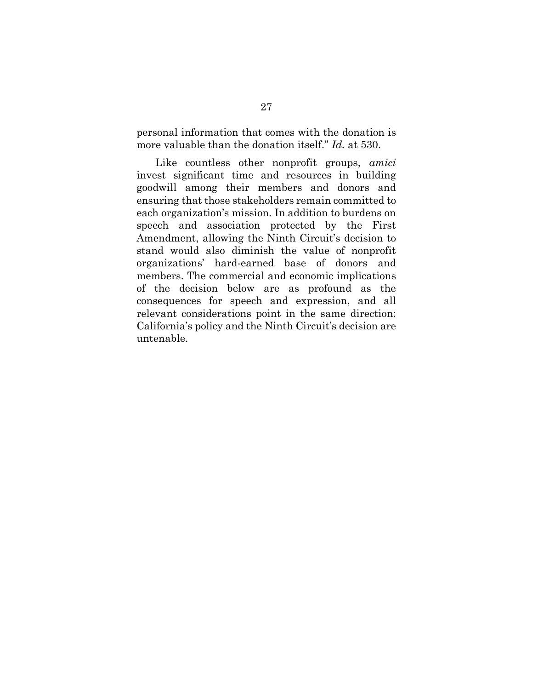personal information that comes with the donation is more valuable than the donation itself." *Id.* at 530.

Like countless other nonprofit groups, *amici*  invest significant time and resources in building goodwill among their members and donors and ensuring that those stakeholders remain committed to each organization's mission. In addition to burdens on speech and association protected by the First Amendment, allowing the Ninth Circuit's decision to stand would also diminish the value of nonprofit organizations' hard-earned base of donors and members. The commercial and economic implications of the decision below are as profound as the consequences for speech and expression, and all relevant considerations point in the same direction: California's policy and the Ninth Circuit's decision are untenable.